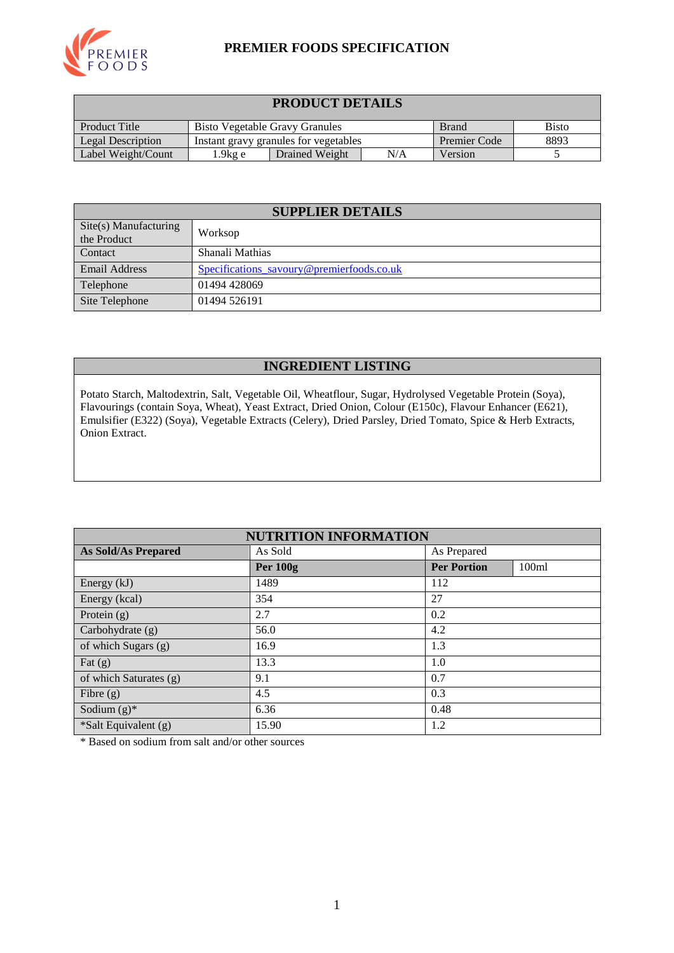

### **PREMIER FOODS SPECIFICATION**

| <b>PRODUCT DETAILS</b>                                                                        |                                             |                                       |              |      |  |  |
|-----------------------------------------------------------------------------------------------|---------------------------------------------|---------------------------------------|--------------|------|--|--|
| <b>Product Title</b><br><b>Bisto Vegetable Gravy Granules</b><br><b>Bisto</b><br><b>Brand</b> |                                             |                                       |              |      |  |  |
| Legal Description                                                                             |                                             | Instant gravy granules for vegetables | Premier Code | 8893 |  |  |
| Label Weight/Count                                                                            | N/A<br>Drained Weight<br>Version<br>1.9kg e |                                       |              |      |  |  |

| <b>SUPPLIER DETAILS</b>                       |                                           |  |  |  |
|-----------------------------------------------|-------------------------------------------|--|--|--|
| $\text{Site}(s)$ Manufacturing<br>the Product | Worksop                                   |  |  |  |
| Contact                                       | Shanali Mathias                           |  |  |  |
| <b>Email Address</b>                          | Specifications savoury@premierfoods.co.uk |  |  |  |
| Telephone                                     | 01494 428069                              |  |  |  |
| Site Telephone                                | 01494 526191                              |  |  |  |

#### **INGREDIENT LISTING**

Potato Starch, Maltodextrin, Salt, Vegetable Oil, Wheatflour, Sugar, Hydrolysed Vegetable Protein (Soya), Flavourings (contain Soya, Wheat), Yeast Extract, Dried Onion, Colour (E150c), Flavour Enhancer (E621), Emulsifier (E322) (Soya), Vegetable Extracts (Celery), Dried Parsley, Dried Tomato, Spice & Herb Extracts, Onion Extract.

| <b>NUTRITION INFORMATION</b> |            |                    |       |  |  |
|------------------------------|------------|--------------------|-------|--|--|
| <b>As Sold/As Prepared</b>   | As Sold    | As Prepared        |       |  |  |
|                              | Per $100g$ | <b>Per Portion</b> | 100ml |  |  |
| Energy $(kJ)$                | 1489       | 112                |       |  |  |
| Energy (kcal)                | 354        | 27                 |       |  |  |
| Protein $(g)$                | 2.7        | 0.2                |       |  |  |
| Carbohydrate (g)             | 56.0       | 4.2                |       |  |  |
| of which Sugars (g)          | 16.9       | 1.3                |       |  |  |
| Fat $(g)$                    | 13.3       | 1.0                |       |  |  |
| of which Saturates (g)       | 9.1        | 0.7                |       |  |  |
| Fibre $(g)$                  | 4.5        | 0.3                |       |  |  |
| Sodium $(g)^*$               | 6.36       | 0.48               |       |  |  |
| *Salt Equivalent (g)         | 15.90      | 1.2                |       |  |  |

\* Based on sodium from salt and/or other sources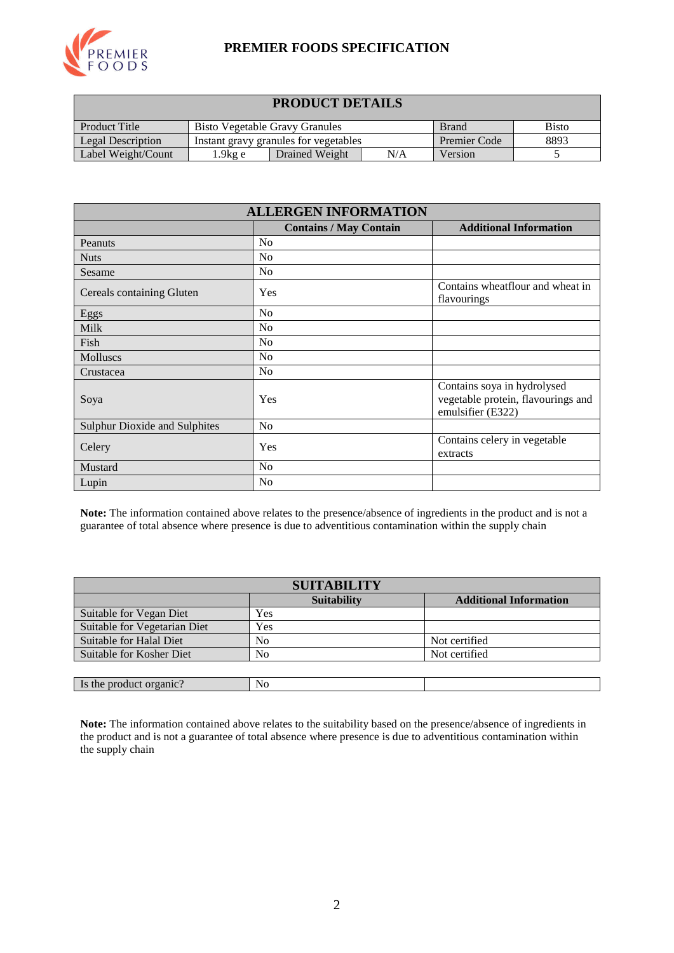

#### **PREMIER FOODS SPECIFICATION**

| <b>PRODUCT DETAILS</b>                                                                        |  |                                       |                     |      |  |  |
|-----------------------------------------------------------------------------------------------|--|---------------------------------------|---------------------|------|--|--|
| <b>Product Title</b><br><b>Bisto Vegetable Gravy Granules</b><br><b>Bisto</b><br><b>Brand</b> |  |                                       |                     |      |  |  |
| Legal Description                                                                             |  | Instant gravy granules for vegetables | <b>Premier Code</b> | 8893 |  |  |
| Label Weight/Count<br>N/A<br>Drained Weight<br>Version<br>1.9kg e                             |  |                                       |                     |      |  |  |

| <b>ALLERGEN INFORMATION</b>   |                               |                                                                                        |  |  |  |
|-------------------------------|-------------------------------|----------------------------------------------------------------------------------------|--|--|--|
|                               | <b>Contains / May Contain</b> | <b>Additional Information</b>                                                          |  |  |  |
| Peanuts                       | N <sub>0</sub>                |                                                                                        |  |  |  |
| <b>Nuts</b>                   | No                            |                                                                                        |  |  |  |
| Sesame                        | N <sub>o</sub>                |                                                                                        |  |  |  |
| Cereals containing Gluten     | Yes                           | Contains wheatflour and wheat in<br>flavourings                                        |  |  |  |
| Eggs                          | N <sub>0</sub>                |                                                                                        |  |  |  |
| <b>Milk</b>                   | N <sub>0</sub>                |                                                                                        |  |  |  |
| Fish                          | N <sub>0</sub>                |                                                                                        |  |  |  |
| Molluscs                      | N <sub>o</sub>                |                                                                                        |  |  |  |
| Crustacea                     | No                            |                                                                                        |  |  |  |
| Soya                          | Yes                           | Contains soya in hydrolysed<br>vegetable protein, flavourings and<br>emulsifier (E322) |  |  |  |
| Sulphur Dioxide and Sulphites | N <sub>o</sub>                |                                                                                        |  |  |  |
| Celery                        | Yes                           | Contains celery in vegetable<br>extracts                                               |  |  |  |
| Mustard                       | No                            |                                                                                        |  |  |  |
| Lupin                         | No                            |                                                                                        |  |  |  |

**Note:** The information contained above relates to the presence/absence of ingredients in the product and is not a guarantee of total absence where presence is due to adventitious contamination within the supply chain

| <b>SUITABILITY</b>           |                    |                               |  |  |  |
|------------------------------|--------------------|-------------------------------|--|--|--|
|                              | <b>Suitability</b> | <b>Additional Information</b> |  |  |  |
| Suitable for Vegan Diet      | Yes                |                               |  |  |  |
| Suitable for Vegetarian Diet | Yes                |                               |  |  |  |
| Suitable for Halal Diet      | No                 | Not certified                 |  |  |  |
| Suitable for Kosher Diet     | No                 | Not certified                 |  |  |  |
|                              |                    |                               |  |  |  |
| Is the product organic?      | No                 |                               |  |  |  |

**Note:** The information contained above relates to the suitability based on the presence/absence of ingredients in the product and is not a guarantee of total absence where presence is due to adventitious contamination within the supply chain